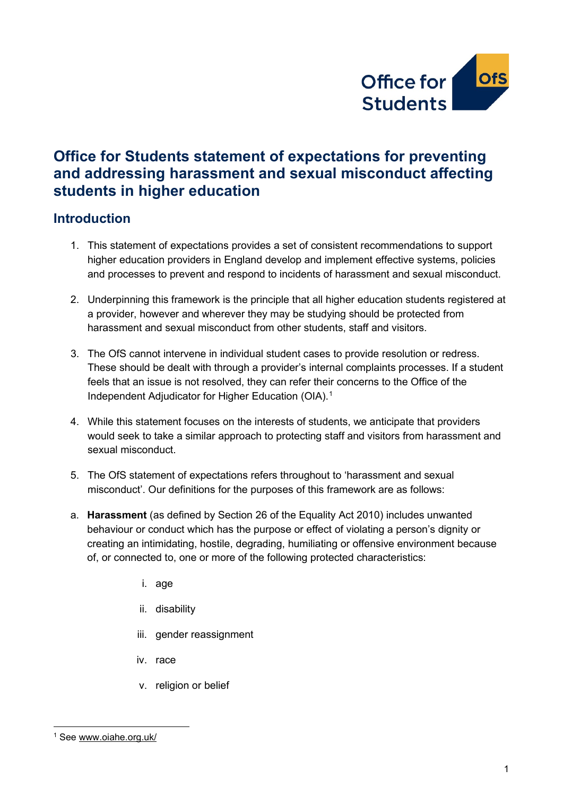

# **Office for Students statement of expectations for preventing and addressing harassment and sexual misconduct affecting students in higher education**

# **Introduction**

- 1. This statement of expectations provides a set of consistent recommendations to support higher education providers in England develop and implement effective systems, policies and processes to prevent and respond to incidents of harassment and sexual misconduct.
- 2. Underpinning this framework is the principle that all higher education students registered at a provider, however and wherever they may be studying should be protected from harassment and sexual misconduct from other students, staff and visitors.
- 3. The OfS cannot intervene in individual student cases to provide resolution or redress. These should be dealt with through a provider's internal complaints processes. If a student feels that an issue is not resolved, they can refer their concerns to the Office of the Independent Adjudicator for Higher Education (OIA).<sup>[1](#page-0-0)</sup>
- 4. While this statement focuses on the interests of students, we anticipate that providers would seek to take a similar approach to protecting staff and visitors from harassment and sexual misconduct.
- 5. The OfS statement of expectations refers throughout to 'harassment and sexual misconduct'. Our definitions for the purposes of this framework are as follows:
- a. **Harassment** (as defined by Section 26 of the Equality Act 2010) includes unwanted behaviour or conduct which has the purpose or effect of violating a person's dignity or creating an intimidating, hostile, degrading, humiliating or offensive environment because of, or connected to, one or more of the following protected characteristics:
	- i. age
	- ii. disability
	- iii. gender reassignment
	- iv. race
	- v. religion or belief

<span id="page-0-0"></span><sup>1</sup> See [www.oiahe.org.uk/](https://officeforstudents.sharepoint.com/sites/Team-Taskandfinishgroup-SWSprovider-levelreg2/Shared%20Documents/March%202021%20analysis/Finalised%20SoE%20document/www.oiahe.org.uk)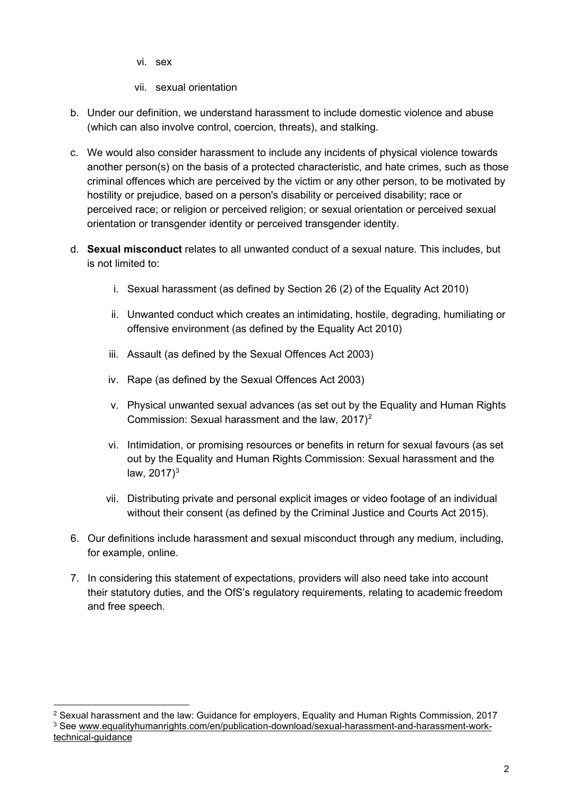vi. sex

- vii. sexual orientation
- b. Under our definition, we understand harassment to include domestic violence and abuse (which can also involve control, coercion, threats), and stalking.
- c. We would also consider harassment to include any incidents of physical violence towards another person(s) on the basis of a protected characteristic, and hate crimes, such as those criminal offences which are perceived by the victim or any other person, to be motivated by hostility or prejudice, based on a person's disability or perceived disability; race or perceived race; or religion or perceived religion; or sexual orientation or perceived sexual orientation or transgender identity or perceived transgender identity.
- d. **Sexual misconduct** relates to all unwanted conduct of a sexual nature. This includes, but is not limited to:
	- i. Sexual harassment (as defined by Section 26 (2) of the Equality Act 2010)
	- ii. Unwanted conduct which creates an intimidating, hostile, degrading, humiliating or offensive environment (as defined by the Equality Act 2010)
	- iii. Assault (as defined by the Sexual Offences Act 2003)
	- iv. Rape (as defined by the Sexual Offences Act 2003)
	- v. Physical unwanted sexual advances (as set out by the Equality and Human Rights Commission: Sexual harassment and the law,  $2017$  $2017$ <sup>2</sup>
	- vi. Intimidation, or promising resources or benefits in return for sexual favours (as set out by the Equality and Human Rights Commission: Sexual harassment and the law,  $2017)^3$  $2017)^3$
	- vii. Distributing private and personal explicit images or video footage of an individual without their consent (as defined by the Criminal Justice and Courts Act 2015).
- 6. Our definitions include harassment and sexual misconduct through any medium, including, for example, online.
- 7. In considering this statement of expectations, providers will also need take into account their statutory duties, and the OfS's regulatory requirements, relating to academic freedom and free speech.

<span id="page-1-1"></span><span id="page-1-0"></span> $2$  Sexual harassment and the law: Guidance for employers, Equality and Human Rights Commission, 2017 <sup>3</sup> See [www.equalityhumanrights.com/en/publication-download/sexual-harassment-and-harassment-work](http://www.equalityhumanrights.com/en/publication-download/sexual-harassment-and-harassment-work-technical-guidance)[technical-guidance](http://www.equalityhumanrights.com/en/publication-download/sexual-harassment-and-harassment-work-technical-guidance)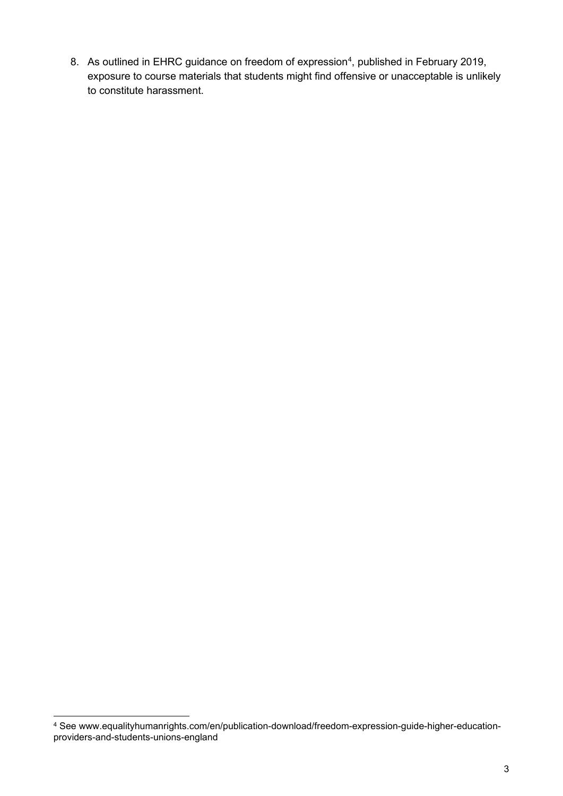8. As outlined in EHRC guidance on freedom of expression<sup>[4](#page-2-0)</sup>, published in February 2019, exposure to course materials that students might find offensive or unacceptable is unlikely to constitute harassment.

<span id="page-2-0"></span><sup>4</sup> See www.equalityhumanrights.com/en/publication-download/freedom-expression-guide-higher-educationproviders-and-students-unions-england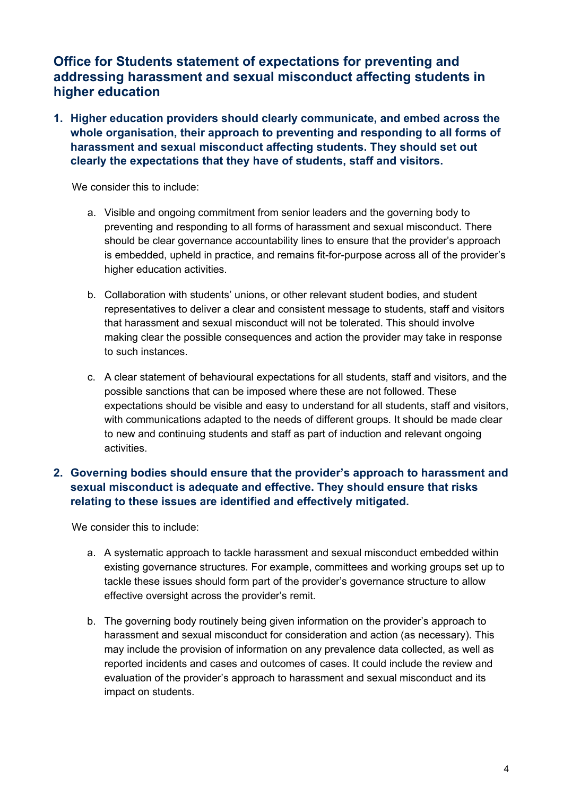# **Office for Students statement of expectations for preventing and addressing harassment and sexual misconduct affecting students in higher education**

**1. Higher education providers should clearly communicate, and embed across the whole organisation, their approach to preventing and responding to all forms of harassment and sexual misconduct affecting students. They should set out clearly the expectations that they have of students, staff and visitors.**

We consider this to include:

- a. Visible and ongoing commitment from senior leaders and the governing body to preventing and responding to all forms of harassment and sexual misconduct. There should be clear governance accountability lines to ensure that the provider's approach is embedded, upheld in practice, and remains fit-for-purpose across all of the provider's higher education activities.
- b. Collaboration with students' unions, or other relevant student bodies, and student representatives to deliver a clear and consistent message to students, staff and visitors that harassment and sexual misconduct will not be tolerated. This should involve making clear the possible consequences and action the provider may take in response to such instances.
- c. A clear statement of behavioural expectations for all students, staff and visitors, and the possible sanctions that can be imposed where these are not followed. These expectations should be visible and easy to understand for all students, staff and visitors, with communications adapted to the needs of different groups. It should be made clear to new and continuing students and staff as part of induction and relevant ongoing activities.

## **2. Governing bodies should ensure that the provider's approach to harassment and sexual misconduct is adequate and effective. They should ensure that risks relating to these issues are identified and effectively mitigated.**

- a. A systematic approach to tackle harassment and sexual misconduct embedded within existing governance structures. For example, committees and working groups set up to tackle these issues should form part of the provider's governance structure to allow effective oversight across the provider's remit.
- b. The governing body routinely being given information on the provider's approach to harassment and sexual misconduct for consideration and action (as necessary). This may include the provision of information on any prevalence data collected, as well as reported incidents and cases and outcomes of cases. It could include the review and evaluation of the provider's approach to harassment and sexual misconduct and its impact on students.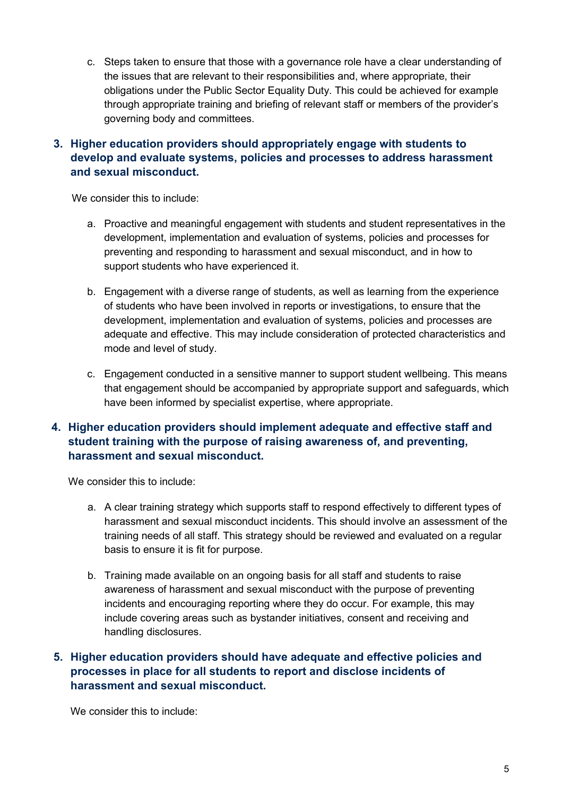c. Steps taken to ensure that those with a governance role have a clear understanding of the issues that are relevant to their responsibilities and, where appropriate, their obligations under the Public Sector Equality Duty. This could be achieved for example through appropriate training and briefing of relevant staff or members of the provider's governing body and committees.

## **3. Higher education providers should appropriately engage with students to develop and evaluate systems, policies and processes to address harassment and sexual misconduct.**

We consider this to include:

- a. Proactive and meaningful engagement with students and student representatives in the development, implementation and evaluation of systems, policies and processes for preventing and responding to harassment and sexual misconduct, and in how to support students who have experienced it.
- b. Engagement with a diverse range of students, as well as learning from the experience of students who have been involved in reports or investigations, to ensure that the development, implementation and evaluation of systems, policies and processes are adequate and effective. This may include consideration of protected characteristics and mode and level of study.
- c. Engagement conducted in a sensitive manner to support student wellbeing. This means that engagement should be accompanied by appropriate support and safeguards, which have been informed by specialist expertise, where appropriate.

## **4. Higher education providers should implement adequate and effective staff and student training with the purpose of raising awareness of, and preventing, harassment and sexual misconduct.**

We consider this to include:

- a. A clear training strategy which supports staff to respond effectively to different types of harassment and sexual misconduct incidents. This should involve an assessment of the training needs of all staff. This strategy should be reviewed and evaluated on a regular basis to ensure it is fit for purpose.
- b. Training made available on an ongoing basis for all staff and students to raise awareness of harassment and sexual misconduct with the purpose of preventing incidents and encouraging reporting where they do occur. For example, this may include covering areas such as bystander initiatives, consent and receiving and handling disclosures.

## **5. Higher education providers should have adequate and effective policies and processes in place for all students to report and disclose incidents of harassment and sexual misconduct.**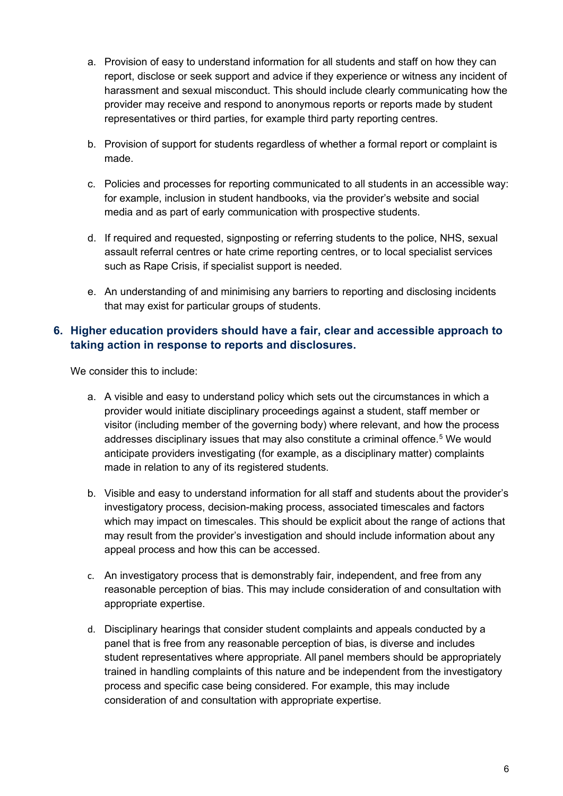- a. Provision of easy to understand information for all students and staff on how they can report, disclose or seek support and advice if they experience or witness any incident of harassment and sexual misconduct. This should include clearly communicating how the provider may receive and respond to anonymous reports or reports made by student representatives or third parties, for example third party reporting centres.
- b. Provision of support for students regardless of whether a formal report or complaint is made.
- c. Policies and processes for reporting communicated to all students in an accessible way: for example, inclusion in student handbooks, via the provider's website and social media and as part of early communication with prospective students.
- d. If required and requested, signposting or referring students to the police, NHS, sexual assault referral centres or hate crime reporting centres, or to local specialist services such as Rape Crisis, if specialist support is needed.
- e. An understanding of and minimising any barriers to reporting and disclosing incidents that may exist for particular groups of students.

#### **6. Higher education providers should have a fair, clear and accessible approach to taking action in response to reports and disclosures.**

- a. A visible and easy to understand policy which sets out the circumstances in which a provider would initiate disciplinary proceedings against a student, staff member or visitor (including member of the governing body) where relevant, and how the process addresses disciplinary issues that may also constitute a criminal offence.<sup>[5](#page-5-0)</sup> We would anticipate providers investigating (for example, as a disciplinary matter) complaints made in relation to any of its registered students.
- b. Visible and easy to understand information for all staff and students about the provider's investigatory process, decision-making process, associated timescales and factors which may impact on timescales. This should be explicit about the range of actions that may result from the provider's investigation and should include information about any appeal process and how this can be accessed.
- c. An investigatory process that is demonstrably fair, independent, and free from any reasonable perception of bias. This may include consideration of and consultation with appropriate expertise.
- <span id="page-5-0"></span>d. Disciplinary hearings that consider student complaints and appeals conducted by a panel that is free from any reasonable perception of bias, is diverse and includes student representatives where appropriate. All panel members should be appropriately trained in handling complaints of this nature and be independent from the investigatory process and specific case being considered. For example, this may include consideration of and consultation with appropriate expertise.